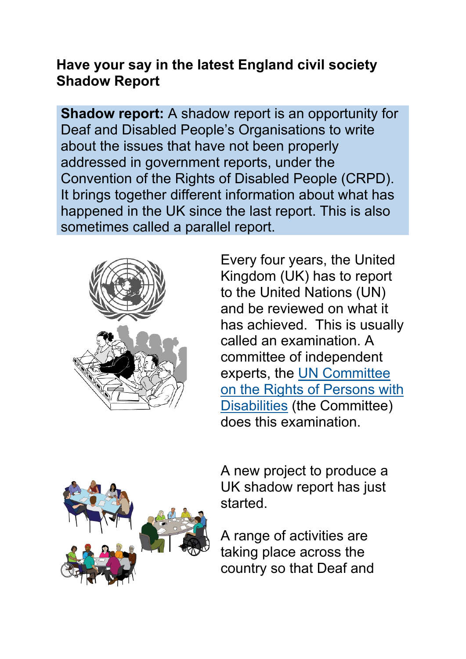# **Have your say in the latest England civil society Shadow Report**

**Shadow report:** A shadow report is an opportunity for Deaf and Disabled People's Organisations to write about the issues that have not been properly addressed in government reports, under the Convention of the Rights of Disabled People (CRPD). It brings together different information about what has happened in the UK since the last report. This is also sometimes called a parallel report.



Every four years, the United Kingdom (UK) has to report to the United Nations (UN) and be reviewed on what it has achieved. This is usually called an examination. A committee of independent experts, the [UN Committee](https://www.ohchr.org/EN/HRBodies/CRPD/Pages/CRPDIndex.aspx) [on the Rights of Persons with](https://www.ohchr.org/EN/HRBodies/CRPD/Pages/CRPDIndex.aspx)  [Disabilities](https://www.ohchr.org/EN/HRBodies/CRPD/Pages/CRPDIndex.aspx) (the Committee) does this examination.



A new project to produce a UK shadow report has just started.

A range of activities are taking place across the country so that Deaf and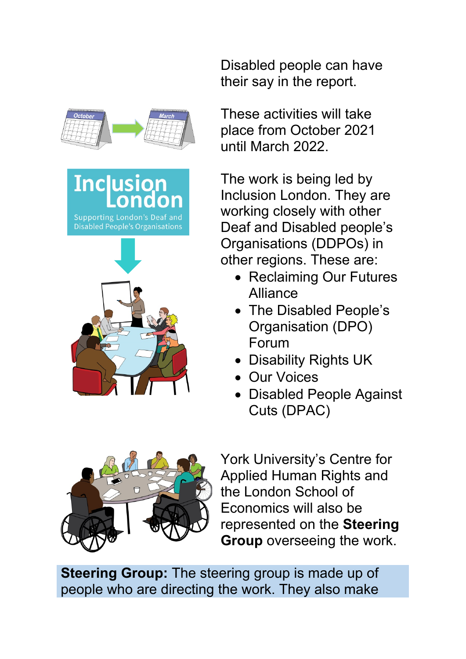

**Inclusion** Supporting London's De **Disabled People's Organisation** 



Disabled people can have their say in the report.

These activities will take place from October 2021 until March 2022.

The work is being led by Inclusion London. They are working closely with other Deaf and Disabled people's Organisations (DDPOs) in other regions. These are:

- Reclaiming Our Futures Alliance
- The Disabled People's Organisation (DPO) Forum
- Disability Rights UK
- Our Voices
- Disabled People Against Cuts (DPAC)



York University's Centre for Applied Human Rights and the London School of Economics will also be represented on the **Steering Group** overseeing the work.

**Steering Group:** The steering group is made up of people who are directing the work. They also make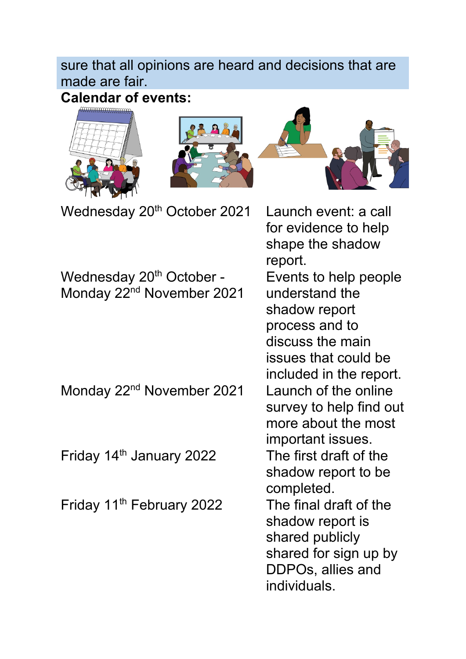## sure that all opinions are heard and decisions that are made are fair.

**Calendar of events:**







Wednesday 20<sup>th</sup> October 2021 Launch event: a call

Wednesday 20<sup>th</sup> October -Monday 22<sup>nd</sup> November 2021

Monday 22<sup>nd</sup> November 2021 Launch of the online

Friday 14<sup>th</sup> January 2022 The first draft of the

Friday 11th February 2022 The final draft of the

for evidence to help shape the shadow report. Events to help people understand the shadow report process and to discuss the main issues that could be included in the report. survey to help find out more about the most important issues. shadow report to be completed. shadow report is shared publicly shared for sign up by DDPOs, allies and individuals.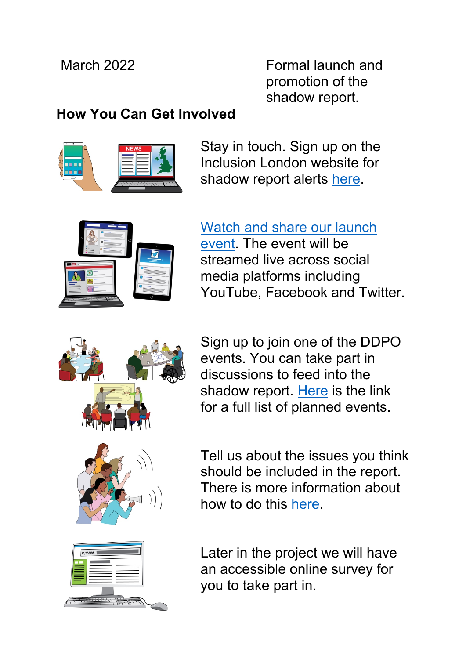March 2022 Formal launch and promotion of the shadow report.

# **How You Can Get Involved**



Stay in touch. Sign up on the Inclusion London website for shadow report alerts [here.](https://www.inclusionlondon.org.uk/newsletter/)



### [Watch and share our launch](https://www.inclusionlondon.org.uk/training-and-support/powerup/view/un-disability-treaty-online-event/)

[event.](https://www.inclusionlondon.org.uk/training-and-support/powerup/view/un-disability-treaty-online-event/) The event will be streamed live across social media platforms including YouTube, Facebook and Twitter.



Sign up to join one of the DDPO events. You can take part in discussions to feed into the shadow report. [Here](https://www.inclusionlondon.org.uk/uncrdp/full-events-list/) is the link for a full list of planned events.

Tell us about the issues you think should be included in the report. There is more information about how to do this [here.](https://www.inclusionlondon.org.uk/uncrdp/call-for-evidence/call-for-evidence-now-open/)

Later in the project we will have an accessible online survey for you to take part in.